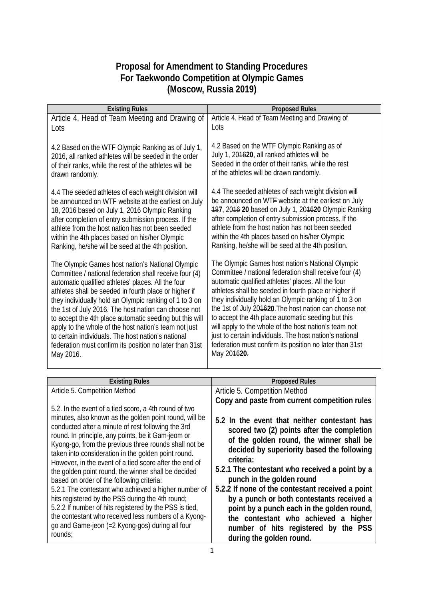## **Proposal for Amendment to Standing Procedures For Taekwondo Competition at Olympic Games (Moscow, Russia 2019)**

| <b>Existing Rules</b>                                                                                                                                                                                                                                                                                                                                                                                                                                                                                                                                                                         | <b>Proposed Rules</b>                                                                                                                                                                                                                                                                                                                                                                                                                                                                                                                                                                             |
|-----------------------------------------------------------------------------------------------------------------------------------------------------------------------------------------------------------------------------------------------------------------------------------------------------------------------------------------------------------------------------------------------------------------------------------------------------------------------------------------------------------------------------------------------------------------------------------------------|---------------------------------------------------------------------------------------------------------------------------------------------------------------------------------------------------------------------------------------------------------------------------------------------------------------------------------------------------------------------------------------------------------------------------------------------------------------------------------------------------------------------------------------------------------------------------------------------------|
| Article 4. Head of Team Meeting and Drawing of                                                                                                                                                                                                                                                                                                                                                                                                                                                                                                                                                | Article 4. Head of Team Meeting and Drawing of                                                                                                                                                                                                                                                                                                                                                                                                                                                                                                                                                    |
| Lots                                                                                                                                                                                                                                                                                                                                                                                                                                                                                                                                                                                          | Lots                                                                                                                                                                                                                                                                                                                                                                                                                                                                                                                                                                                              |
| 4.2 Based on the WTF Olympic Ranking as of July 1,<br>2016, all ranked athletes will be seeded in the order<br>of their ranks, while the rest of the athletes will be<br>drawn randomly.                                                                                                                                                                                                                                                                                                                                                                                                      | 4.2 Based on the WTF Olympic Ranking as of<br>July 1, 204620, all ranked athletes will be<br>Seeded in the order of their ranks, while the rest<br>of the athletes will be drawn randomly.                                                                                                                                                                                                                                                                                                                                                                                                        |
| 4.4 The seeded athletes of each weight division will<br>be announced on WTF website at the earliest on July<br>18, 2016 based on July 1, 2016 Olympic Ranking<br>after completion of entry submission process. If the<br>athlete from the host nation has not been seeded<br>within the 4th places based on his/her Olympic<br>Ranking, he/she will be seed at the 4th position.                                                                                                                                                                                                              | 4.4 The seeded athletes of each weight division will<br>be announced on WTF website at the earliest on July<br>187, 2016 20 based on July 1, 201620 Olympic Ranking<br>after completion of entry submission process. If the<br>athlete from the host nation has not been seeded<br>within the 4th places based on his/her Olympic<br>Ranking, he/she will be seed at the 4th position.                                                                                                                                                                                                            |
| The Olympic Games host nation's National Olympic<br>Committee / national federation shall receive four (4)<br>automatic qualified athletes' places. All the four<br>athletes shall be seeded in fourth place or higher if<br>they individually hold an Olympic ranking of 1 to 3 on<br>the 1st of July 2016. The host nation can choose not<br>to accept the 4th place automatic seeding but this will<br>apply to the whole of the host nation's team not just<br>to certain individuals. The host nation's national<br>federation must confirm its position no later than 31st<br>May 2016. | The Olympic Games host nation's National Olympic<br>Committee / national federation shall receive four (4)<br>automatic qualified athletes' places. All the four<br>athletes shall be seeded in fourth place or higher if<br>they individually hold an Olympic ranking of 1 to 3 on<br>the 1st of July 204620. The host nation can choose not<br>to accept the 4th place automatic seeding but this<br>will apply to the whole of the host nation's team not<br>just to certain individuals. The host nation's national<br>federation must confirm its position no later than 31st<br>May 204620- |
|                                                                                                                                                                                                                                                                                                                                                                                                                                                                                                                                                                                               |                                                                                                                                                                                                                                                                                                                                                                                                                                                                                                                                                                                                   |
| <b>Existing Rules</b>                                                                                                                                                                                                                                                                                                                                                                                                                                                                                                                                                                         | <b>Proposed Rules</b>                                                                                                                                                                                                                                                                                                                                                                                                                                                                                                                                                                             |
| Article 5. Competition Method<br>5.2. In the event of a tied score, a 4th round of two<br>minutes, also known as the golden point round, will be                                                                                                                                                                                                                                                                                                                                                                                                                                              | Article 5. Competition Method<br>Copy and paste from current competition rules<br>5.2 In the event that neither contestant has                                                                                                                                                                                                                                                                                                                                                                                                                                                                    |
| conducted after a minute of rest following the 3rd<br>round. In principle, any points, be it Gam-jeom or<br>Kyong-go, from the previous three rounds shall not be<br>taken into consideration in the golden point round.<br>However, in the event of a tied score after the end of                                                                                                                                                                                                                                                                                                            | scored two (2) points after the completion<br>of the golden round, the winner shall be<br>decided by superiority based the following<br>criteria:                                                                                                                                                                                                                                                                                                                                                                                                                                                 |
| the golden point round, the winner shall be decided<br>based on order of the following criteria:                                                                                                                                                                                                                                                                                                                                                                                                                                                                                              | 5.2.1 The contestant who received a point by a<br>punch in the golden round                                                                                                                                                                                                                                                                                                                                                                                                                                                                                                                       |
| 5.2.1 The contestant who achieved a higher number of<br>hits registered by the PSS during the 4th round;                                                                                                                                                                                                                                                                                                                                                                                                                                                                                      | 5.2.2 If none of the contestant received a point<br>by a punch or both contestants received a                                                                                                                                                                                                                                                                                                                                                                                                                                                                                                     |
| 5.2.2 If number of hits registered by the PSS is tied,                                                                                                                                                                                                                                                                                                                                                                                                                                                                                                                                        | point by a punch each in the golden round,                                                                                                                                                                                                                                                                                                                                                                                                                                                                                                                                                        |
| the contestant who received less numbers of a Kyong-<br>go and Game-jeon (=2 Kyong-gos) during all four                                                                                                                                                                                                                                                                                                                                                                                                                                                                                       | the contestant who achieved a higher<br>number of hits registered by the PSS                                                                                                                                                                                                                                                                                                                                                                                                                                                                                                                      |
| rounds;                                                                                                                                                                                                                                                                                                                                                                                                                                                                                                                                                                                       | during the golden round.                                                                                                                                                                                                                                                                                                                                                                                                                                                                                                                                                                          |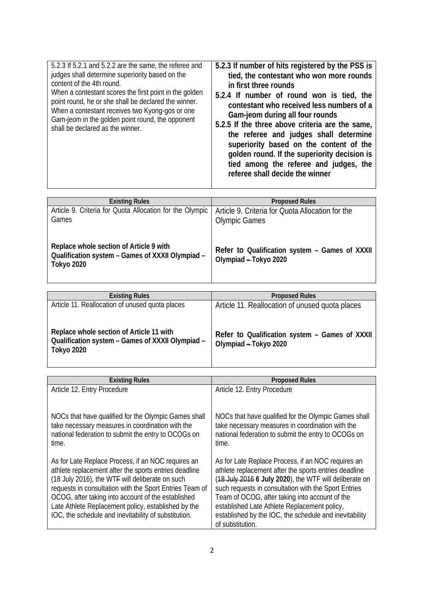| 5.2.3 If 5.2.1 and 5.2.2 are the same, the referee and<br>judges shall determine superiority based on the<br>content of the 4th round.<br>When a contestant scores the first point in the golden<br>point round, he or she shall be declared the winner.<br>When a contestant receives two Kyong-gos or one<br>Gam-jeom in the golden point round, the opponent<br>shall be declared as the winner. | 5.2.3 If number of hits registered by the PSS is<br>tied, the contestant who won more rounds<br>in first three rounds<br>5.2.4 If number of round won is tied, the<br>contestant who received less numbers of a<br>Gam-jeom during all four rounds<br>5.2.5 If the three above criteria are the same,<br>the referee and judges shall determine<br>superiority based on the content of the<br>golden round. If the superiority decision is<br>tied among the referee and judges, the<br>referee shall decide the winner |
|-----------------------------------------------------------------------------------------------------------------------------------------------------------------------------------------------------------------------------------------------------------------------------------------------------------------------------------------------------------------------------------------------------|-------------------------------------------------------------------------------------------------------------------------------------------------------------------------------------------------------------------------------------------------------------------------------------------------------------------------------------------------------------------------------------------------------------------------------------------------------------------------------------------------------------------------|

| <b>Existing Rules</b>                                                                                            | <b>Proposed Rules</b>                                                    |
|------------------------------------------------------------------------------------------------------------------|--------------------------------------------------------------------------|
| Article 9. Criteria for Quota Allocation for the Olympic<br>Games                                                | Article 9. Criteria for Quota Allocation for the<br><b>Olympic Games</b> |
| Replace whole section of Article 9 with<br>Qualification system - Games of XXXII Olympiad -<br><b>Tokyo 2020</b> | Refer to Qualification system - Games of XXXII<br>Olympiad - Tokyo 2020  |

| <b>Existing Rules</b>                                                                                      | <b>Proposed Rules</b>                                                   |
|------------------------------------------------------------------------------------------------------------|-------------------------------------------------------------------------|
| Article 11. Reallocation of unused quota places                                                            | Article 11. Reallocation of unused quota places                         |
| Replace whole section of Article 11 with<br>Qualification system - Games of XXXII Olympiad -<br>Tokyo 2020 | Refer to Qualification system - Games of XXXII<br>Olympiad - Tokyo 2020 |

| <b>Existing Rules</b>                                                                                                                                                                                                                                                                                                                                                                          | <b>Proposed Rules</b>                                                                                                                                                                                                                                                                                                                                                                                         |
|------------------------------------------------------------------------------------------------------------------------------------------------------------------------------------------------------------------------------------------------------------------------------------------------------------------------------------------------------------------------------------------------|---------------------------------------------------------------------------------------------------------------------------------------------------------------------------------------------------------------------------------------------------------------------------------------------------------------------------------------------------------------------------------------------------------------|
| Article 12. Entry Procedure                                                                                                                                                                                                                                                                                                                                                                    | Article 12. Entry Procedure                                                                                                                                                                                                                                                                                                                                                                                   |
| NOCs that have qualified for the Olympic Games shall<br>take necessary measures in coordination with the<br>national federation to submit the entry to OCOGs on<br>time.                                                                                                                                                                                                                       | NOCs that have qualified for the Olympic Games shall<br>take necessary measures in coordination with the<br>national federation to submit the entry to OCOGs on<br>time.                                                                                                                                                                                                                                      |
| As for Late Replace Process, if an NOC requires an<br>athlete replacement after the sports entries deadline<br>(18 July 2016), the WTF will deliberate on such<br>requests in consultation with the Sport Entries Team of<br>OCOG, after taking into account of the established<br>Late Athlete Replacement policy, established by the<br>IOC, the schedule and inevitability of substitution. | As for Late Replace Process, if an NOC requires an<br>athlete replacement after the sports entries deadline<br>(18 July 2016 6 July 2020), the WTF will deliberate on<br>such requests in consultation with the Sport Entries<br>Team of OCOG, after taking into account of the<br>established Late Athlete Replacement policy,<br>established by the IOC, the schedule and inevitability<br>of substitution. |